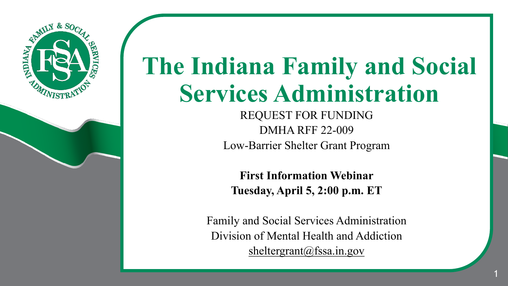

# **The Indiana Family and Social Services Administration**

REQUEST FOR FUNDING DMHA RFF 22-009 Low-Barrier Shelter Grant Program

**First Information Webinar Tuesday, April 5, 2:00 p.m. ET**

Family and Social Services Administration Division of Mental Health and Addiction sheltergrant@fssa.in.gov

1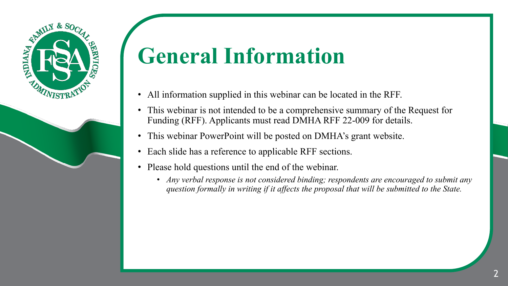

### **General Information**

- All information supplied in this webinar can be located in the RFF.
- This webinar is not intended to be a comprehensive summary of the Request for Funding (RFF). Applicants must read DMHA RFF 22-009 for details.
- This webinar PowerPoint will be posted on DMHA's grant website.
- Each slide has a reference to applicable RFF sections.
- Please hold questions until the end of the webinar.
	- *Any verbal response is not considered binding; respondents are encouraged to submit any question formally in writing if it affects the proposal that will be submitted to the State.*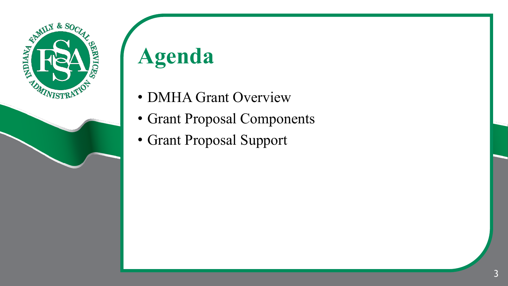

# **Agenda**

- DMHA Grant Overview
- Grant Proposal Components
- Grant Proposal Support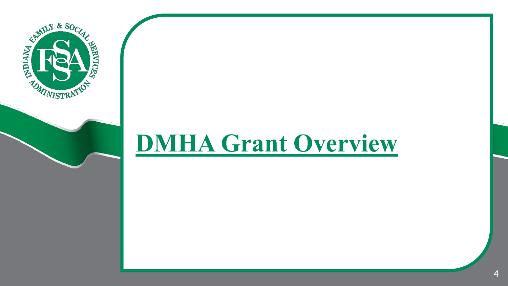

### **DMHA Grant Overview**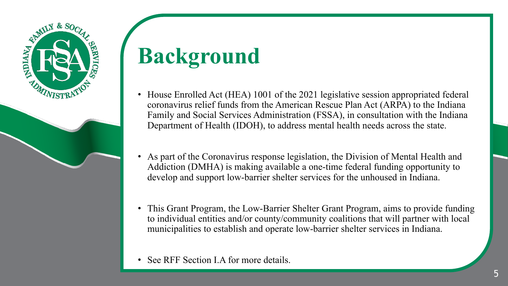

# **Background**

- House Enrolled Act (HEA) 1001 of the 2021 legislative session appropriated federal coronavirus relief funds from the American Rescue Plan Act (ARPA) to the Indiana Family and Social Services Administration (FSSA), in consultation with the Indiana Department of Health (IDOH), to address mental health needs across the state.
- As part of the Coronavirus response legislation, the Division of Mental Health and Addiction (DMHA) is making available a one-time federal funding opportunity to develop and support low-barrier shelter services for the unhoused in Indiana.
- This Grant Program, the Low-Barrier Shelter Grant Program, aims to provide funding to individual entities and/or county/community coalitions that will partner with local municipalities to establish and operate low-barrier shelter services in Indiana.
- See RFF Section I.A for more details.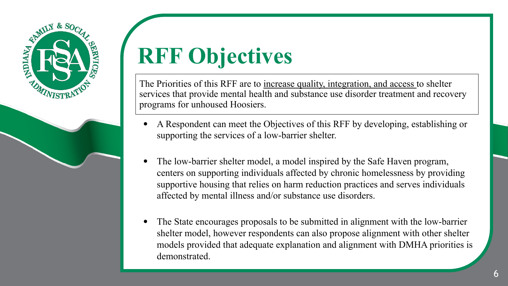

# **RFF Objectives**

The Priorities of this RFF are to increase quality, integration, and access to shelter services that provide mental health and substance use disorder treatment and recovery programs for unhoused Hoosiers.

- A Respondent can meet the Objectives of this RFF by developing, establishing or supporting the services of a low-barrier shelter.
- The low-barrier shelter model, a model inspired by the Safe Haven program, centers on supporting individuals affected by chronic homelessness by providing supportive housing that relies on harm reduction practices and serves individuals affected by mental illness and/or substance use disorders.
- The State encourages proposals to be submitted in alignment with the low-barrier shelter model, however respondents can also propose alignment with other shelter models provided that adequate explanation and alignment with DMHA priorities is demonstrated.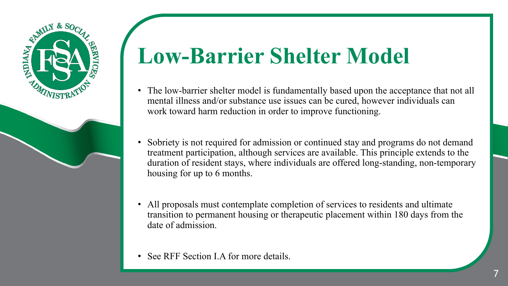

### **Low-Barrier Shelter Model**

- The low-barrier shelter model is fundamentally based upon the acceptance that not all mental illness and/or substance use issues can be cured, however individuals can work toward harm reduction in order to improve functioning.
- Sobriety is not required for admission or continued stay and programs do not demand treatment participation, although services are available. This principle extends to the duration of resident stays, where individuals are offered long-standing, non-temporary housing for up to 6 months.
- All proposals must contemplate completion of services to residents and ultimate transition to permanent housing or therapeutic placement within 180 days from the date of admission.
- See RFF Section I.A for more details.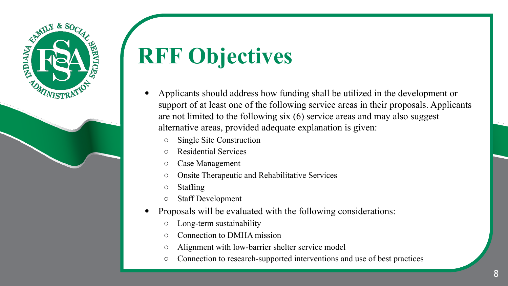



- Applicants should address how funding shall be utilized in the development or support of at least one of the following service areas in their proposals. Applicants are not limited to the following six (6) service areas and may also suggest alternative areas, provided adequate explanation is given:
	- Single Site Construction
	- Residential Services
	- Case Management
	- Onsite Therapeutic and Rehabilitative Services
	- Staffing
	- Staff Development
- Proposals will be evaluated with the following considerations:
	- Long-term sustainability
	- Connection to DMHA mission
	- Alignment with low-barrier shelter service model
	- Connection to research-supported interventions and use of best practices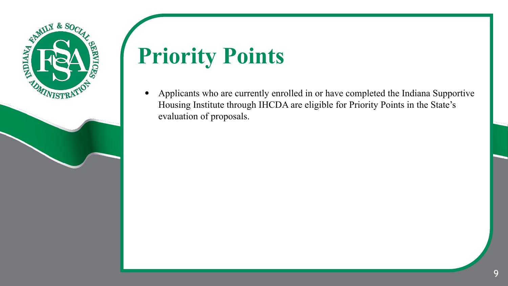

## **Priority Points**

• Applicants who are currently enrolled in or have completed the Indiana Supportive Housing Institute through IHCDA are eligible for Priority Points in the State's evaluation of proposals.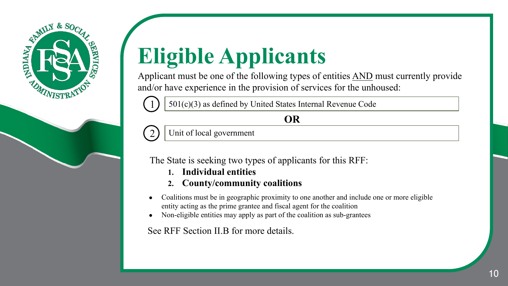



Applicant must be one of the following types of entities AND must currently provide and/or have experience in the provision of services for the unhoused:

1 501(c)(3) as defined by United States Internal Revenue Code

**OR**

Unit of local government

2

The State is seeking two types of applicants for this RFF:

- **1. Individual entities**
- **2. County/community coalitions**
- Coalitions must be in geographic proximity to one another and include one or more eligible entity acting as the prime grantee and fiscal agent for the coalition
- Non-eligible entities may apply as part of the coalition as sub-grantees

See RFF Section II.B for more details.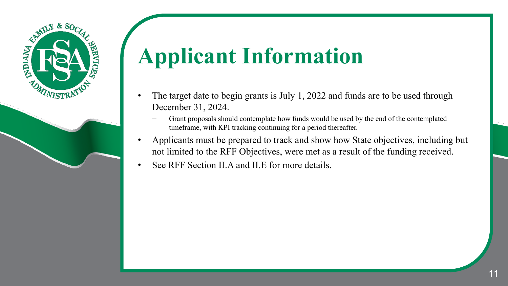

# **Applicant Information**

- The target date to begin grants is July 1, 2022 and funds are to be used through December 31, 2024.
	- Grant proposals should contemplate how funds would be used by the end of the contemplated timeframe, with KPI tracking continuing for a period thereafter.
- Applicants must be prepared to track and show how State objectives, including but not limited to the RFF Objectives, were met as a result of the funding received.
- See RFF Section II.A and II.E for more details.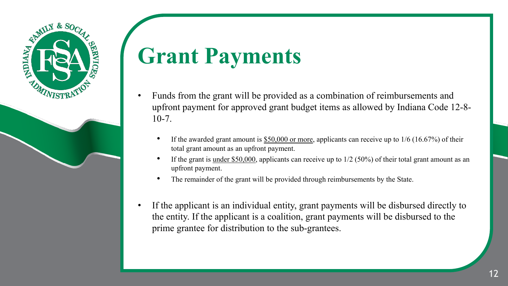

### **Grant Payments**

- Funds from the grant will be provided as a combination of reimbursements and upfront payment for approved grant budget items as allowed by Indiana Code 12-8-  $10-7.$ 
	- If the awarded grant amount is  $$50,000$  or more, applicants can receive up to 1/6 (16.67%) of their total grant amount as an upfront payment.
	- If the grant is under \$50,000, applicants can receive up to  $1/2$  (50%) of their total grant amount as an upfront payment.
	- The remainder of the grant will be provided through reimbursements by the State.
- If the applicant is an individual entity, grant payments will be disbursed directly to the entity. If the applicant is a coalition, grant payments will be disbursed to the prime grantee for distribution to the sub-grantees.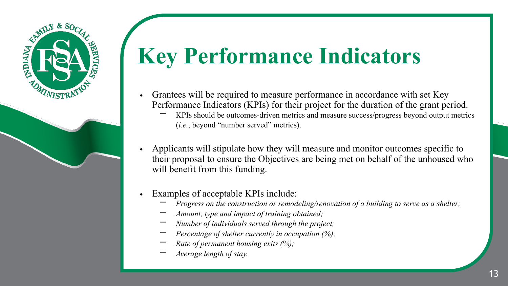# **Key Performance Indicators**

- Grantees will be required to measure performance in accordance with set Key Performance Indicators (KPIs) for their project for the duration of the grant period.
	- KPIs should be outcomes-driven metrics and measure success/progress beyond output metrics (*i.e.*, beyond "number served" metrics).
- Applicants will stipulate how they will measure and monitor outcomes specific to their proposal to ensure the Objectives are being met on behalf of the unhoused who will benefit from this funding.
- Examples of acceptable KPIs include:
	- *Progress on the construction or remodeling/renovation of a building to serve as a shelter;*
	- − *Amount, type and impact of training obtained;*
	- − *Number of individuals served through the project;*
	- *Percentage of shelter currently in occupation (%);*
	- *Rate of permanent housing exits (%);*
	- − *Average length of stay.*

REMILY & SOC

**NDIANA**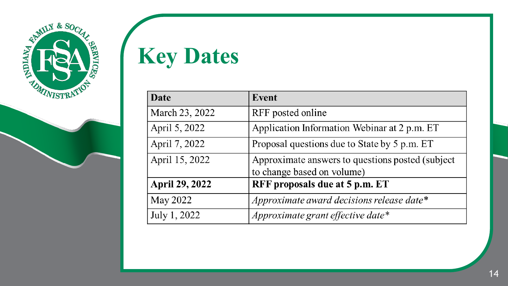

**Key Dates**

| Date                  | Event                                            |  |
|-----------------------|--------------------------------------------------|--|
| March 23, 2022        | RFF posted online                                |  |
| April 5, 2022         | Application Information Webinar at 2 p.m. ET     |  |
| April 7, 2022         | Proposal questions due to State by 5 p.m. ET     |  |
| April 15, 2022        | Approximate answers to questions posted (subject |  |
|                       | to change based on volume)                       |  |
| <b>April 29, 2022</b> | RFF proposals due at 5 p.m. ET                   |  |
| May 2022              | Approximate award decisions release date*        |  |
| July 1, 2022          | Approximate grant effective date*                |  |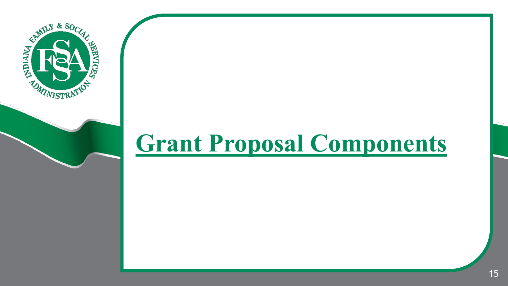

### **Grant Proposal Components**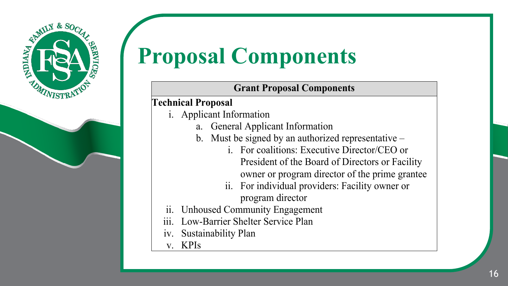

# **Proposal Components**

#### **Grant Proposal Components**

#### **Technical Proposal**

- i. Applicant Information
	- a. General Applicant Information
	- b. Must be signed by an authorized representative
		- i. For coalitions: Executive Director/CEO or President of the Board of Directors or Facility owner or program director of the prime grantee
		- ii. For individual providers: Facility owner or program director
- ii. Unhoused Community Engagement
- iii. Low-Barrier Shelter Service Plan
- iv. Sustainability Plan
- v. KPIs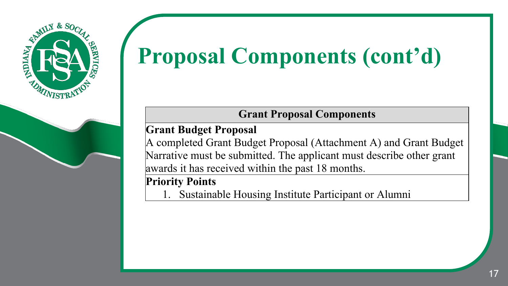

# **Proposal Components (cont'd)**

#### **Grant Proposal Components**

**Grant Budget Proposal**

A completed Grant Budget Proposal (Attachment A) and Grant Budget Narrative must be submitted. The applicant must describe other grant awards it has received within the past 18 months.

#### **Priority Points**

Sustainable Housing Institute Participant or Alumni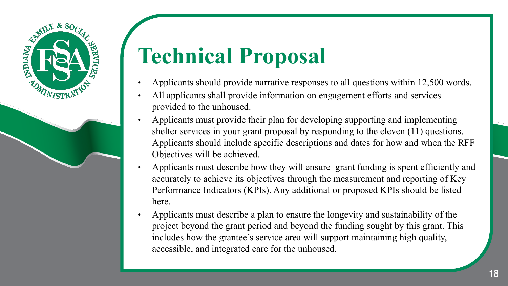

# **Technical Proposal**

- Applicants should provide narrative responses to all questions within 12,500 words.
- All applicants shall provide information on engagement efforts and services provided to the unhoused.
- Applicants must provide their plan for developing supporting and implementing shelter services in your grant proposal by responding to the eleven (11) questions. Applicants should include specific descriptions and dates for how and when the RFF Objectives will be achieved.
- Applicants must describe how they will ensure grant funding is spent efficiently and accurately to achieve its objectives through the measurement and reporting of Key Performance Indicators (KPIs). Any additional or proposed KPIs should be listed here.
- Applicants must describe a plan to ensure the longevity and sustainability of the project beyond the grant period and beyond the funding sought by this grant. This includes how the grantee's service area will support maintaining high quality, accessible, and integrated care for the unhoused.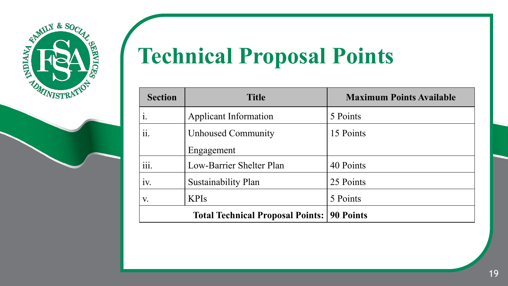



# **Technical Proposal Points**

| <b>Section</b>                          | <b>Title</b>                 | <b>Maximum Points Available</b> |
|-----------------------------------------|------------------------------|---------------------------------|
| $\mathbf{i}$ .                          | <b>Applicant Information</b> | 5 Points                        |
| ii.                                     | <b>Unhoused Community</b>    | 15 Points                       |
|                                         | Engagement                   |                                 |
| iii.                                    | Low-Barrier Shelter Plan     | 40 Points                       |
| 1V.                                     | Sustainability Plan          | 25 Points                       |
| V.                                      | <b>KPIs</b>                  | 5 Points                        |
| <b>Total Technical Proposal Points:</b> |                              | <b>90 Points</b>                |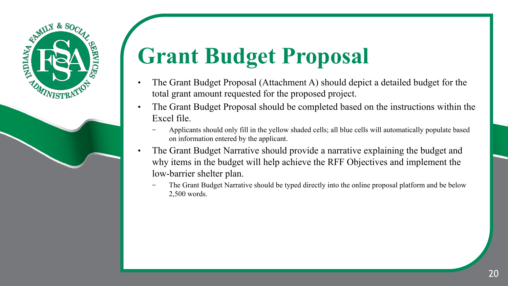### REALLY & SOCIAL **ANDIANA TARMS** *NISTE*

# **Grant Budget Proposal**

- The Grant Budget Proposal (Attachment A) should depict a detailed budget for the total grant amount requested for the proposed project.
- The Grant Budget Proposal should be completed based on the instructions within the Excel file.
	- − Applicants should only fill in the yellow shaded cells; all blue cells will automatically populate based on information entered by the applicant.
- The Grant Budget Narrative should provide a narrative explaining the budget and why items in the budget will help achieve the RFF Objectives and implement the low-barrier shelter plan.
	- The Grant Budget Narrative should be typed directly into the online proposal platform and be below 2,500 words.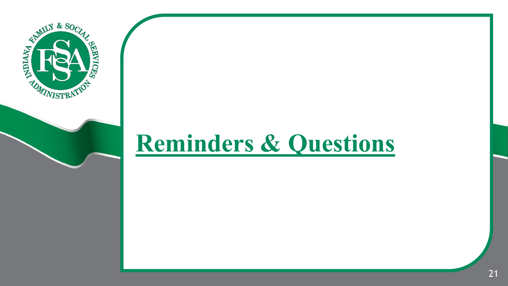

### **Reminders & Questions**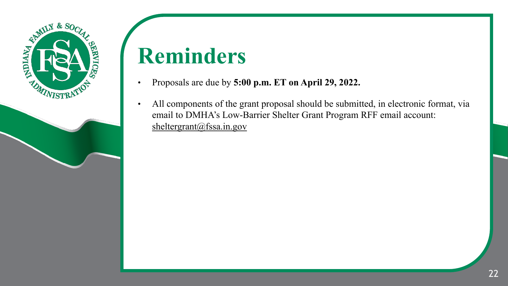

### **Reminders**

- Proposals are due by **5:00 p.m. ET on April 29, 2022.**
- All components of the grant proposal should be submitted, in electronic format, via email to DMHA's Low-Barrier Shelter Grant Program RFF email account: sheltergrant@fssa.in.gov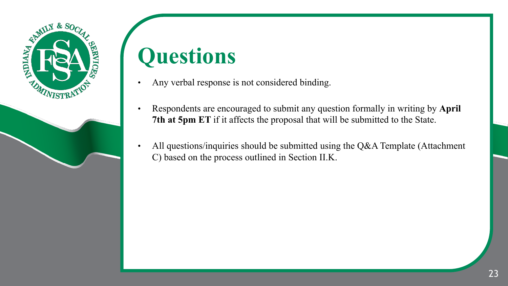

### **Questions**

- Any verbal response is not considered binding.
- Respondents are encouraged to submit any question formally in writing by **April 7th at 5pm ET** if it affects the proposal that will be submitted to the State.
- All questions/inquiries should be submitted using the Q&A Template (Attachment C) based on the process outlined in Section II.K.